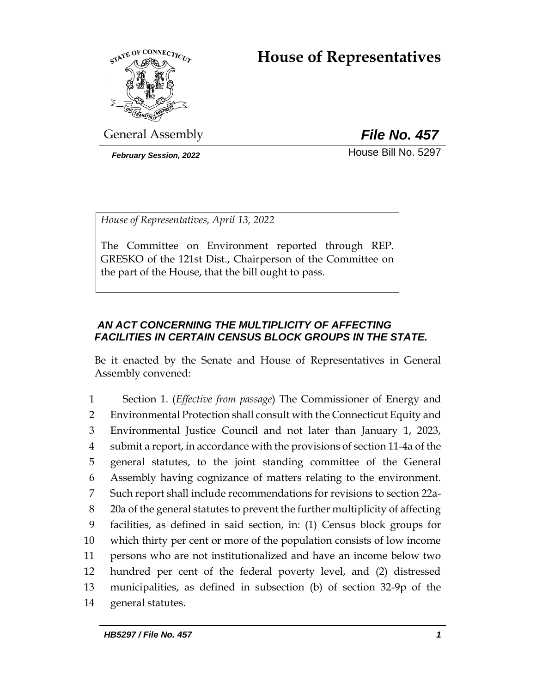# **House of Representatives**



General Assembly *File No. 457*

**February Session, 2022 House Bill No. 5297** 

*House of Representatives, April 13, 2022*

The Committee on Environment reported through REP. GRESKO of the 121st Dist., Chairperson of the Committee on the part of the House, that the bill ought to pass.

# *AN ACT CONCERNING THE MULTIPLICITY OF AFFECTING FACILITIES IN CERTAIN CENSUS BLOCK GROUPS IN THE STATE.*

Be it enacted by the Senate and House of Representatives in General Assembly convened:

 Section 1. (*Effective from passage*) The Commissioner of Energy and Environmental Protection shall consult with the Connecticut Equity and Environmental Justice Council and not later than January 1, 2023, submit a report, in accordance with the provisions of section 11-4a of the general statutes, to the joint standing committee of the General Assembly having cognizance of matters relating to the environment. Such report shall include recommendations for revisions to section 22a- 20a of the general statutes to prevent the further multiplicity of affecting facilities, as defined in said section, in: (1) Census block groups for which thirty per cent or more of the population consists of low income persons who are not institutionalized and have an income below two hundred per cent of the federal poverty level, and (2) distressed municipalities, as defined in subsection (b) of section 32-9p of the general statutes.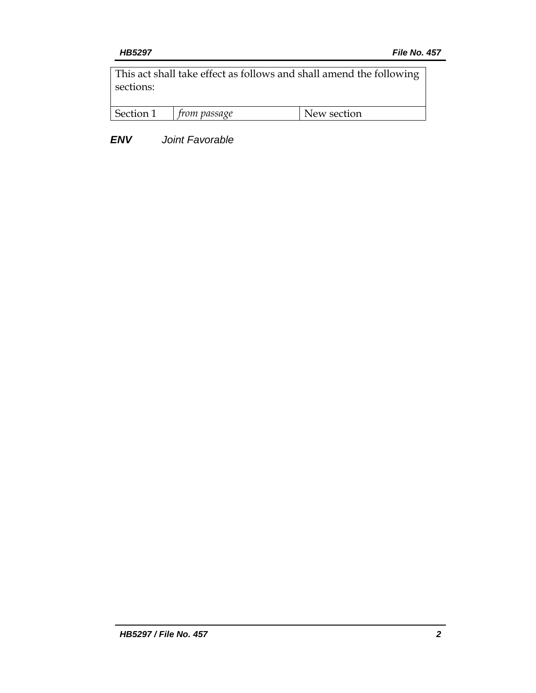This act shall take effect as follows and shall amend the following sections:

| Section 1 | m nassaqe | N<br>section<br>$\mathbf{M}$ |
|-----------|-----------|------------------------------|
|           |           |                              |

*ENV Joint Favorable*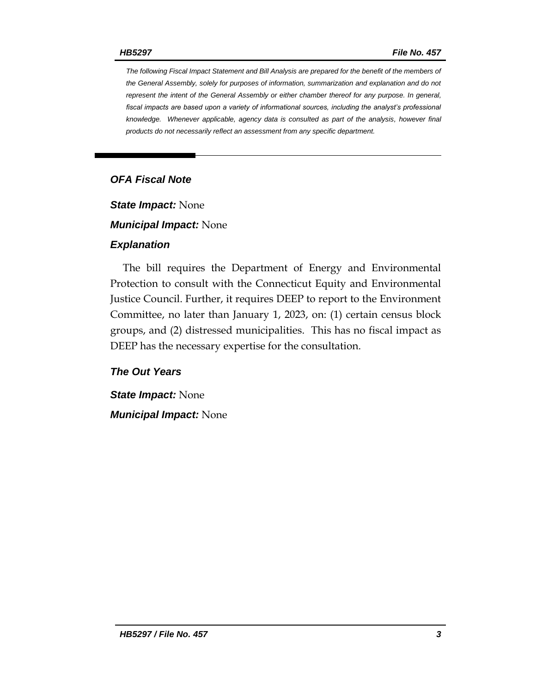*The following Fiscal Impact Statement and Bill Analysis are prepared for the benefit of the members of the General Assembly, solely for purposes of information, summarization and explanation and do not represent the intent of the General Assembly or either chamber thereof for any purpose. In general,*  fiscal impacts are based upon a variety of informational sources, including the analyst's professional *knowledge. Whenever applicable, agency data is consulted as part of the analysis, however final products do not necessarily reflect an assessment from any specific department.*

# *OFA Fiscal Note*

*State Impact:* None

*Municipal Impact:* None

#### *Explanation*

The bill requires the Department of Energy and Environmental Protection to consult with the Connecticut Equity and Environmental Justice Council. Further, it requires DEEP to report to the Environment Committee, no later than January 1, 2023, on: (1) certain census block groups, and (2) distressed municipalities. This has no fiscal impact as DEEP has the necessary expertise for the consultation.

### *The Out Years*

*State Impact:* None *Municipal Impact:* None